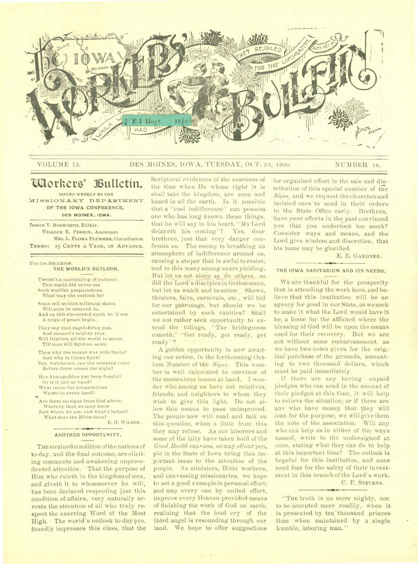

## VOLUME 12. DES MOINES, IOWA, TUESDAY, OCT. 23, 1900. NUMBER 16.

# **((Mothers' kultetin.**

**ISSUED WEEKLY BY THE MISSION.ARY DEPARTMENT OF THE IOWA CONFERENCE, DES MOINES, IOWA.** 

**YESSIE V. BOSWORTH,** Editor. **WILLIAM** E. PERRIN. Assistant. **MRS.** L. **FLORA PLUMMER,** Contributor. **TERMS: 25 CENTS A YEAR, IN ADVANCE.** 

#### For the **BULLETIN. THE WORLD'S OUTLOOK.**

- THERE'S a marshaling of nations: This world did never see Such warlike preparations. What may the outlook be?
- Some tell us that millenial dawn
- Will soon be ushered in, And on this sin-cursed earth we'll see A reign of peace begin.
- They say that rapid-Bring gun, And cannon's mighty roar, Will frighten all the world to peace,
- Till men will fight no more. Then why the recent war with Spain?
- And why in China fight? Say, watchman, can the morning come Before there comes the night?
- Has Armageddon yet been fought? Or is it just at hand? What mean the preparations
- We.see in every land? We see in every land?<br>Are there no signs from God above,
- Whereby that we may know Just where we are, and what's before?
	- What does the Bible show? E. H. **WILBUR.**

### **ANOTHER** OPPORTUNITY.

**THE** strained condition of the nations of to-day, and the final outcome, are eliciting comments and awakening unprecedented attention. That the purpose of Him who ruleth in the kingdomof men, and giveth it to whomsoever he will, has been declared respecting just this condition of affairs, very naturally arrests the attention of all who truly respect the unerring Word of the Most High. The world's outlook to-day pro.. foundly impresses this class, that the

Scriptural evidences of the nearness of the time when He whose right it is shall take the kingdom, are seen and heard in all the earth. Is it possible that a "cool indifference" can possess one who has long known these things, that he will say in his heart, "My Lord delayeth his coming"? Yes, dear brethren, just that very danger confronts us. The enemy is breathing an atmosphere of indifference around us, causing a stupor that is awful to resist; and to this many among us are yielding. But let us not sleep as do others, as did the Lord's disciples in Gethsemane, but let us watch and be sober.. Shows, theaters, fairs, carnivals, etc., will bid for our patronage, but should we be entertained by such vanities? Shall we not rather seek opportunity to extend the tidings, "The bridegroom cometh;" "Get ready, get ready, get ready"?

A golden opportunity is now awaiting our action, in the forthcoming Outlook Number of the *Signs.* This number is well calculated to convince of the momentous issues at hand. I wonder who among us have not relatives, friends, and neighbors to whom they wish to give this light. Do not allow this means to pass unimproved. The people now will read and talk on this question, when a little from this they may refuse. As our laborers and some of the laity have taken hold of the *Good Health* canvass, so may allour peo\_ ple in the State of Iowa bring this important issue to the attention of the people. As ministers, Bible workers, and canvassing missionaries, we hope to set a good example in personal effort; and may every one by united effort, improve every Heaven-provided means of finishing the work of God on earth, realizing that the loud cry of the third angel is resounding through our land. We hope to offer suggestions

for organized effort in the sale and distribution of this special number of the *Signs,* and we request the churches and isolated ones to send in their orders to the State Office early. Brethren, have your efforts in the past convinced you that you undertook too much? Consider ways and means, and the Lord give wisdom and discretion, that his name may be glorified.

E. E. **GARDNER.** 

#### **THE IOWA SANITARIUM AND ITS NEEDS.**

WE are thankful for the prosperity that is attending the work here, and believe that this institution will be an agency for good in our State, as we seek to make it what the Lord would have it be, a home for the afflicted where the blessing of God will be upon the means used for their recovery. But we are not without some embarrassment, as we have two notes given for the orig. inal purchase of the grounds, amounting to two thousand dollars, which must be paid immediately.

If there are any having unpaid pledges who can send in the amount of their pledges at this time, it will help to relieve the situation; or if there are any who have money that they will loan for the purpose, we will give them the note of the association. Will any who can help us in either of the ways named, write to the undersigned at once, stating what they can do to help at this important time? The outlook is hopeful for this institution, and none need fear for the safety of their investment in this branch of the Lord's work.

# C. F. STEVENS.

"THE truth is no more mighty, nor to be accepted more readily, when it is presented by ten'thousand princes than when maintained by a single humble, laboring man."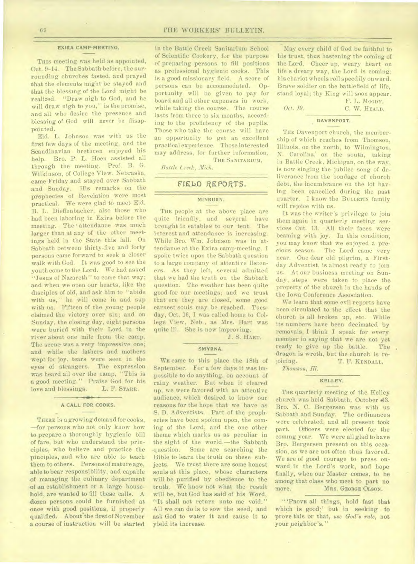## **EXIRA CAMP-MEETING.**

THIS meeting was held as appointed, Oct. 9-14. The Sabbath before, the surrounding churches fasted, and prayed that the elements might be stayed and that the blessing of the Lord might be realized. "Draw nigh to God, and he will draw nigh to you," is the promise, and all who desire the presence and blessing of God will never be disappointed.

Eld. L. Johnson was with us the first few days of the meeting, and the Scandinavian brethren enjoyed his help. Bro. P. L. Hoen assisted all through the meeting. Prof. B. G. Wilkinson, of College View, Nebraska, came Friday and stayed over Sabbath and Sunday. His remarks on the prophecies of Revelation were most practical. We were glad to meet-Eld. B. L. Dieffenbacher, also those who had been laboring in Exira before the meeting. The attendance was much larger than at any of the other meetings held in the State this fall. On Sabbath between thirty-five and forty persons came forward to seek a closer walk with God. It was good to see the youth come to the Lord. We had asked "Jesus of Nazareth" to come that way; and when we open our hearts, like the disciples of old, and ask him to "abide with us," he will come in and sup with us. Fifteen of the young people claimed the victory over sin; and on Sunday, the closing day, eight persons were buried with their Lord in the river about one mile from the camp. The scene was a very impressive one; and while the fathers and mothers wept for joy, tears were seen in the expression eyes of strangers. was heard all over the camp, "This is a good meeting." Praise God for his<br>love and blessings. L. F. Stars. love and blessings.

#### **A** CALL FOR COOKS.

THERE is a growing demand for cooks, —for persons who not only know how to prepare a thoroughly hygienic bill of fare, but who understand the principles, who believe and practice the pinciples, and who are able to teach them to others. Persons of mature age, able to bear responsibility, and capable of managing the culinary department of an establishment or a large household, are wanted to fill these calls. A dozen persons could be furnished at once with good positions, if properly qualified. About the first of November a course of instruction will be started

in the Battle Creek Sanitarium School of Scientific Cookery, for the purpose of preparing persons to fill positions as professional hygienic cooks. This is a good missionary field. A score of persons can be accommodated. Opportunity will be given to pay for board and all other expenses in work, while taking the course. The course lasts from three to six months, according to the proficiency of the pupils. Those who take the course will have an opportunity to get an excellent practical experience. Those interested may address, for further information,

THE SANITARIUM.

*Battle Creek, Mich.* 

## **FIELD REPORTS.**

## **MINBURN.**

THE people at the above place are quite friendly, and several have brought in eatables to our tent. The interest and attendance is increasing. While Bro. Wm. Johnson was in attendance at the Exira camp-meeting, I spoke twice upon the Sabbath question to a large company of attentive listeners. As they left, several admitted that we had the truth on the Sabbath question. The weather has been quite good for nur meetings; and we trust that ere they are closed, some good earnest souls may be reached. Tuesday, Oct. 16, I was called home to College View, Neb., as Mrs. Hart was quite ill. She is now improving.

J. S. HART.

## **SMYRNA.**

WE came to this place the 18th of September. For a few days it was impossible to do anything, on account of rainy weather. But when it cleared up, we were favored with an attentive audience, which desired to know our reasons for the hope that we have as S. D. Adventists. Part of the prophecies have been spoken upon, the coming of the Lord, and the one other theme which marks us as peculiar in the sight of the world,—the Sabbath -question. Some are searching the Bible to learn the truth on these subjects. We trust there are some honest souls at this place, whose characters will be purified by obedience to the truth. We know not what the result will be, but God has said of his Word, "It shall not return unto me void." All we can do is to sow the seed, and ask God to water it and cause it to yield its increase.

May every child of God be faithful to his trust, thus hastening the coming of the Lord. Cheer up, weary heart on life's dreary way, the Lord is coming; his chariot wheels roll speedily onward. Brave soldier on the battlefield of life, stand loyal; thy King will soon appear. F. L. MOODY,

*Oct. 19.* **C. W. HEALD.** 

#### **DAVENPORT.**

THE Davenport church, the membership of which reaches from Thomson, Illinois, on the north, to Wilmington, N. Carolina, on the south, taking in Battle Creek, Michigan, on the way, is now singing the jubilee song of deliverance from the bondage of church debt, the incumbrance on the lot having been cancelled during the past quarter. I know the BULLETIN family will rejoice with us.

It was the writer's privilege to join them again in quarterly meeting services Oct. 13. All their faces were beaming with joy. In this condition, you may know that we enjoyed a precious season. The Lord came very near. One dear old pilgrim, a Firstday Adventist, is almost ready to join us. At our business meeting on Sunday, steps were taken to place the property of the church in the hands of the Iowa Conference Association.

We learn that some evil reports have been circulated to the effect that the church is all broken up, etc. While its numbers have been decimated by removals, I think I speak for every member in saying that we are not yet ready to give up the battle. The dragon is wroth, but the church is re-<br>joicing. T. F. KENDALL. T. F. KENDALL.

*Thomson, M.* 

## **KELLEY.**

THE quarterly meeting of the Kelley church was held Sabbath, October 43. Bro. N. C. Bergersen was with us Sabbath and Sunday. The ordinances were celebrated, and all present took part. Officers were elected for the coming year. We were all glad to have Bro. Bergersen present on this occasion, as we are not often thus favored. We are of good courage to press onward in the Lord's work, and hope finally, when our Master comes, to be among that class who meet to part no more. MRS. GEORGE OLSON.

" 'PROVE all things, hold fast that which is good;' but in seeking to prove this or that, *use God's rule,* not your neighbor's."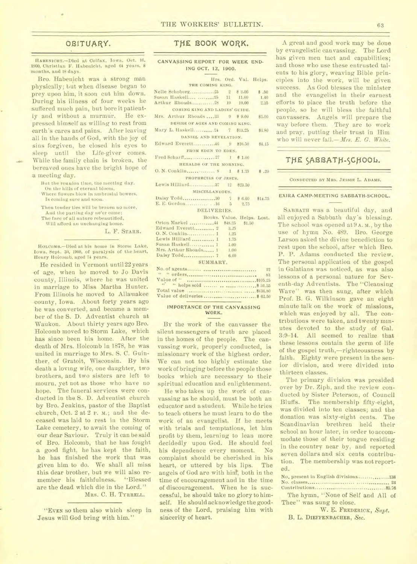## OBITUARY,

HABENICHT.-Died at Colfax, Iowa, Oct. 16, 1900, Christian F. Habenicht, aged 64 years, 8 months, and 18 days.

Bro. Habenicht was a strong man physically; but when disease began to prey upon him, it soon cut him down. During his illness of four weeks he suffered much pain, but bore it patiently and without a murmur. He expressed himself as willing to rest from earth's cares and pains. After leaving all in the hands of God, with the joy of sins forgiven, he closed his eyes to sleep until the Life-giver comes. While the family chain is broken, the bereaved ones have the bright hope of .a meeting day.

But the reunion time, the meeting day.

- On the hills of eternal bloom, Where flowers blow in ambrosial bowers,
- Is coming sure and soon.

Then tender ties will be broken no more, And the parting day ne'er come;

The face of all nature rebeautified,

Will afford an unchanging home.

L. F. STARR.

HOLComa.-Died at his home in Storm Lake, Iowa, Sept. 33, 1900, of paralysis of the heart, Henry Holcomb, aged 74 years.

He resided in Vermont unti122 years of age, when he moved to Jo Davis county, Illinois, where he was united in marriage to Miss Martha Hunter. From Illinois he moved to Allamakee county, Iowa. About forty years ago he was converted, and became a member of the S. D. Adventist church at Waukon. About thirty years ago Bro. Holcomb moved to Storm Lake, which has since been his home. After the death of Mrs. Holcomb in 1878, he was united in marriage to Mrs. S. C. Guinther, of Gratoit, Wisconsin. By his -death a loving wife, one daughter, two brothers, and two sisters are left to mourn, yet not as those who have no hope. The funeral services were conducted in the S. D. Adventist church by Bro. Jenkins, pastor of the Baptist -church, Oct. 2 at 2 P. m.; and the deceased was laid to rest in the Storm Lake cemetery, to await the coming of our dear Saviour. Truly it can be said of Bro. Holcomb, that he has fought a good fight, he has kept the faith, he has finished the work that was given him to do. We shall all miss this dear brother, but we will also remember his faithfulness. "Blessed are the dead which die in the Lord." MRS. C. H. TYRRELL.

"EVEN so them also which sleep *in*  Jesus will God bring with him."

## THE BOOK WORK.

**CANVASSING REPORT FOR WEEK END-ING OCT. 12, 1900.** 

|                                      |  | Hrs. Ord. Val. Helps. |      |  |  |  |  |  |
|--------------------------------------|--|-----------------------|------|--|--|--|--|--|
| THE COMING KING.                     |  |                       |      |  |  |  |  |  |
|                                      |  |                       |      |  |  |  |  |  |
|                                      |  |                       |      |  |  |  |  |  |
| Arthur Rhoads 28 19 19.00            |  |                       | 2.25 |  |  |  |  |  |
| COMING KING AND LADIES' GUIDE.       |  |                       |      |  |  |  |  |  |
| Mrs. Arthur Rhoads33 9 \$9.00 \$3.00 |  |                       |      |  |  |  |  |  |
| DESIRE OF AGES AND COMING KING.      |  |                       |      |  |  |  |  |  |
| Mary L. Haskell24 7 \$13.25 \$3.80   |  |                       |      |  |  |  |  |  |
| DANIEL AND REVELATION.               |  |                       |      |  |  |  |  |  |
| Edward Everett46 9 \$16.50 \$4.15    |  |                       |      |  |  |  |  |  |
| FROM EDEN TO EDEN.                   |  |                       |      |  |  |  |  |  |
|                                      |  |                       |      |  |  |  |  |  |
| HERALDS OF THE MORNING.              |  |                       |      |  |  |  |  |  |
|                                      |  |                       |      |  |  |  |  |  |
| PROPHECIES OF JESUS.                 |  |                       |      |  |  |  |  |  |
| Lewis Hilliard 37 12 \$23.50         |  |                       |      |  |  |  |  |  |
| MISCELLANEOUS.                       |  |                       |      |  |  |  |  |  |
| Daisy Todd30 7 \$6.00 \$14.75        |  |                       |      |  |  |  |  |  |
|                                      |  |                       |      |  |  |  |  |  |
| DELIVERIES.                          |  |                       |      |  |  |  |  |  |
| Books. Value. Helps. Lost.           |  |                       |      |  |  |  |  |  |
| Orton Markel  44 \$48.25 \$1.50      |  |                       |      |  |  |  |  |  |
| Edward Everett 2 3.25                |  |                       |      |  |  |  |  |  |
| O. N. Conklin 1 1.25                 |  |                       |      |  |  |  |  |  |
| Lewis Hilliard  1 1.75               |  |                       |      |  |  |  |  |  |
| Susan Haskell 1 1.00                 |  |                       |      |  |  |  |  |  |
| Mrs. Arthur Rhoads 1 1.00            |  |                       |      |  |  |  |  |  |
| Daisy Todd 7 6.00                    |  |                       |      |  |  |  |  |  |
| SUMMARY.                             |  |                       |      |  |  |  |  |  |
|                                      |  |                       | 12   |  |  |  |  |  |
|                                      |  |                       |      |  |  |  |  |  |

| LIUI UL GOULLUCIAAT LA SERRETERRETERRETERRETATI L |  |  |  |
|---------------------------------------------------|--|--|--|
|                                                   |  |  |  |
|                                                   |  |  |  |
|                                                   |  |  |  |
|                                                   |  |  |  |
|                                                   |  |  |  |
|                                                   |  |  |  |

#### **IMPORTANCE OF THE CANVASSING WORK.**

BY the work of the canvasser the silent messengers of truth are placed in the homes of the people. The canvassing work, properly conducted, is missionary work of the highest order. We can not too highly estimate the work of bringing before the people those books which are necessary to their spiritual education and enlightenment.

He who takes up the work of canvassing as he should, must be both an educator and a student. While he tries to teach others he must learn to do the work of an evangelist. If he meets with trials and temptations, let him profit by them, learning to lean more decidedly upon God. He should feel<br>his dependence every moment. No his dependence every moment. complaint should be cherished in his heart, or uttered by his lips. The angels of God are with him, both in the time of encouragement and in the time of discouragement. When he is successful, he should take no glory to himself. He should acknowledge the goodness of the Lord, praising him with sincerity of heart.

A great and good work may be done by evangelistic canvassing. The Lord has given men tact and capabilities; and those who use these entrusted talents to his glory, weaving Bible principles into the work, will be given success. As God blesses the minister and the evangelist in their earnest efforts to place the truth before the people, so he will bless the faithful canvassers. Angels will prepare the way before them. They are to work and pray, putting their trust in Him who will never fall.- Mrs. E. G. White.

## THE SABBATH-SCHOOL.

CONDUCTED BY MRS. JESSIE L. ADAMS.

#### **EXIRA CAMP-MEETING SABBATH-SCHOOL.**

SABBATH was a beautiful day, and all enjoyed a Sabbath day's blessing. The school was opened at 9A.M., by the use of hymn No. 489. Bro. George Larson asked the divine benediction to rest upon the school, after which Bro. P. P. Adams conducted the review. The personal application of the gospel in Galatians was noticed, as was also lessons of a personal nature for Seventh-day Adventists. The "Cleansing Wave" was then sung, after which Prof. B. G. Wilkinson gave an eight minute talk on the work of missions, which was enjoyed by all. The contributions were taken, and twenty minutes devoted to the study of Gal. 3:9-14. All seemed to realize that these lessons contain the germ of life of the gospel truth,-righteousness by faith. Eighty were present in the senior division, and were divided into thirteen classes.

The primary division was presided over by Dr. Ziph, and the review conducted by Sister Peterson, of Council Bluffs. The membership fifty-eight, was divided into ten classes; and the donation was sixty-eight cents. The Scandinavian brethren held their school an hour later, in order to accommodate those of their tongue residing in the country near by, and reported seven dollars and six cents contribution. The membership was not reported.

|  |  |  |  | No. present in English divisions138 |
|--|--|--|--|-------------------------------------|
|  |  |  |  |                                     |
|  |  |  |  |                                     |
|  |  |  |  | The humn "None of Solf and All of   |

The hymn, "None of Self and All of Thee" was sung to close.

W. E. **FREDERICK,** *Supt.*  B. L. **DIEFFENBACHER,** *Sec.*